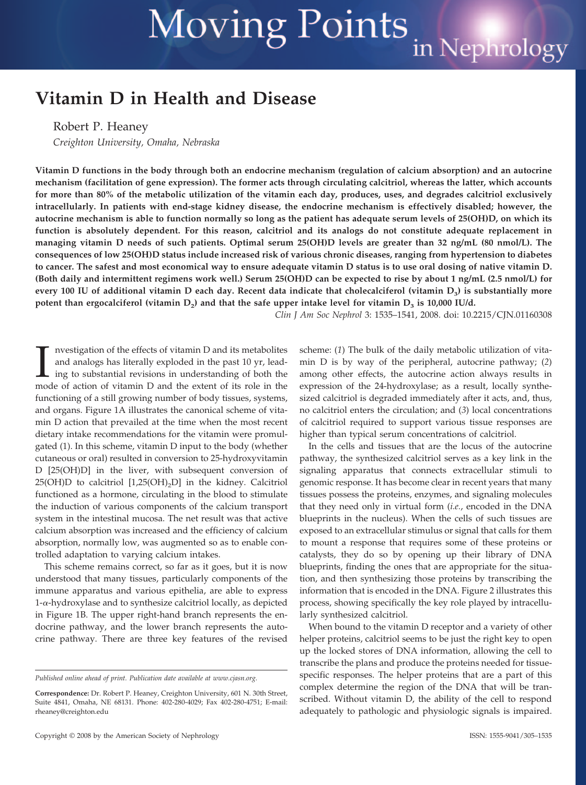# **Moving Points** in Nephrology

# **Vitamin D in Health and Disease**

Robert P. Heaney

*Creighton University, Omaha, Nebraska*

**Vitamin D functions in the body through both an endocrine mechanism (regulation of calcium absorption) and an autocrine mechanism (facilitation of gene expression). The former acts through circulating calcitriol, whereas the latter, which accounts for more than 80% of the metabolic utilization of the vitamin each day, produces, uses, and degrades calcitriol exclusively intracellularly. In patients with end-stage kidney disease, the endocrine mechanism is effectively disabled; however, the autocrine mechanism is able to function normally so long as the patient has adequate serum levels of 25(OH)D, on which its function is absolutely dependent. For this reason, calcitriol and its analogs do not constitute adequate replacement in managing vitamin D needs of such patients. Optimal serum 25(OH)D levels are greater than 32 ng/mL (80 nmol/L). The consequences of low 25(OH)D status include increased risk of various chronic diseases, ranging from hypertension to diabetes to cancer. The safest and most economical way to ensure adequate vitamin D status is to use oral dosing of native vitamin D. (Both daily and intermittent regimens work well.) Serum 25(OH)D can be expected to rise by about 1 ng/mL (2.5 nmol/L) for** every 100 IU of additional vitamin D each day. Recent data indicate that cholecalciferol (vitamin D<sub>3</sub>) is substantially more potent than ergocalciferol (vitamin  $D_2$ ) and that the safe upper intake level for vitamin  $D_3$  is 10,000 IU/d.

*Clin J Am Soc Nephrol* 3: 1535–1541, 2008. doi: 10.2215/CJN.01160308

I nvestigation of the effects of vitamin D and its metabolites and analogs has literally exploded in the past 10 yr, leading to substantial revisions in understanding of both the mode of action of vitamin D and the extent nvestigation of the effects of vitamin D and its metabolites and analogs has literally exploded in the past 10 yr, leading to substantial revisions in understanding of both the functioning of a still growing number of body tissues, systems, and organs. Figure 1A illustrates the canonical scheme of vitamin D action that prevailed at the time when the most recent dietary intake recommendations for the vitamin were promulgated (1). In this scheme, vitamin D input to the body (whether cutaneous or oral) resulted in conversion to 25-hydroxyvitamin D [25(OH)D] in the liver, with subsequent conversion of 25(OH)D to calcitriol  $[1,25(OH)_2D]$  in the kidney. Calcitriol functioned as a hormone, circulating in the blood to stimulate the induction of various components of the calcium transport system in the intestinal mucosa. The net result was that active calcium absorption was increased and the efficiency of calcium absorption, normally low, was augmented so as to enable controlled adaptation to varying calcium intakes.

This scheme remains correct, so far as it goes, but it is now understood that many tissues, particularly components of the immune apparatus and various epithelia, are able to express  $1-\alpha$ -hydroxylase and to synthesize calcitriol locally, as depicted in Figure 1B. The upper right-hand branch represents the endocrine pathway, and the lower branch represents the autocrine pathway. There are three key features of the revised

Copyright © 2008 by the American Society of Nephrology ISSN: 1555-9041/305-1535

scheme: (*1*) The bulk of the daily metabolic utilization of vitamin D is by way of the peripheral, autocrine pathway; (*2*) among other effects, the autocrine action always results in expression of the 24-hydroxylase; as a result, locally synthesized calcitriol is degraded immediately after it acts, and, thus, no calcitriol enters the circulation; and (*3*) local concentrations of calcitriol required to support various tissue responses are higher than typical serum concentrations of calcitriol.

In the cells and tissues that are the locus of the autocrine pathway, the synthesized calcitriol serves as a key link in the signaling apparatus that connects extracellular stimuli to genomic response. It has become clear in recent years that many tissues possess the proteins, enzymes, and signaling molecules that they need only in virtual form (*i.e.*, encoded in the DNA blueprints in the nucleus). When the cells of such tissues are exposed to an extracellular stimulus or signal that calls for them to mount a response that requires some of these proteins or catalysts, they do so by opening up their library of DNA blueprints, finding the ones that are appropriate for the situation, and then synthesizing those proteins by transcribing the information that is encoded in the DNA. Figure 2 illustrates this process, showing specifically the key role played by intracellularly synthesized calcitriol.

When bound to the vitamin D receptor and a variety of other helper proteins, calcitriol seems to be just the right key to open up the locked stores of DNA information, allowing the cell to transcribe the plans and produce the proteins needed for tissuespecific responses. The helper proteins that are a part of this complex determine the region of the DNA that will be transcribed. Without vitamin D, the ability of the cell to respond adequately to pathologic and physiologic signals is impaired.

*Published online ahead of print. Publication date available at www.cjasn.org.*

**Correspondence:** Dr. Robert P. Heaney, Creighton University, 601 N. 30th Street, Suite 4841, Omaha, NE 68131. Phone: 402-280-4029; Fax 402-280-4751; E-mail: rheaney@creighton.edu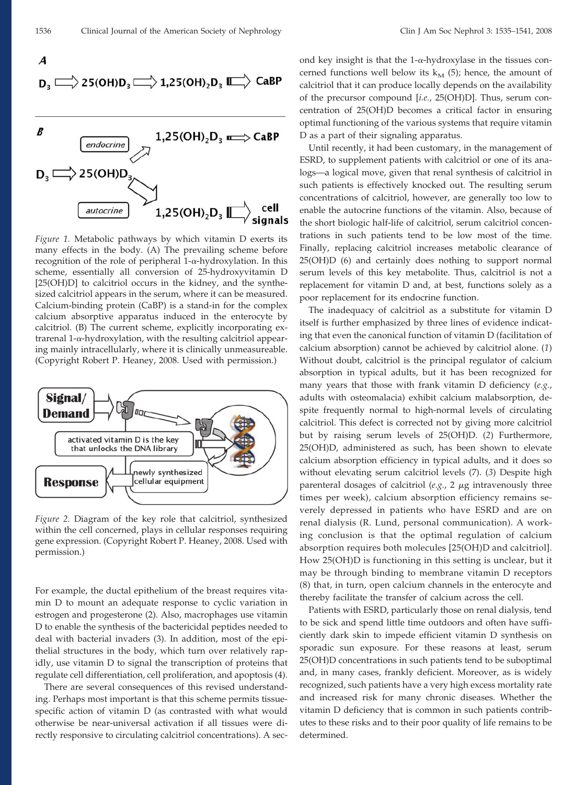$$
f_{\rm{max}}
$$

 $\boldsymbol{A}$ 

$$
D_3 \overset{\text{def}}{\Longrightarrow} 25(OH)D_3 \overset{\text{def}}{\Longrightarrow} 1{,}25(OH)_2D_3 \overset{\text{def}}{\Longrightarrow} CaBP
$$



*Figure 1.* Metabolic pathways by which vitamin D exerts its many effects in the body. (A) The prevailing scheme before recognition of the role of peripheral 1- $\alpha$ -hydroxylation. In this scheme, essentially all conversion of 25-hydroxyvitamin D [25(OH)D] to calcitriol occurs in the kidney, and the synthesized calcitriol appears in the serum, where it can be measured. Calcium-binding protein (CaBP) is a stand-in for the complex calcium absorptive apparatus induced in the enterocyte by calcitriol. (B) The current scheme, explicitly incorporating ex $t$ rarenal 1- $\alpha$ -hydroxylation, with the resulting calcitriol appearing mainly intracellularly, where it is clinically unmeasureable. (Copyright Robert P. Heaney, 2008. Used with permission.)



*Figure 2.* Diagram of the key role that calcitriol, synthesized within the cell concerned, plays in cellular responses requiring gene expression. (Copyright Robert P. Heaney, 2008. Used with permission.)

For example, the ductal epithelium of the breast requires vitamin D to mount an adequate response to cyclic variation in estrogen and progesterone (2). Also, macrophages use vitamin D to enable the synthesis of the bactericidal peptides needed to deal with bacterial invaders (3). In addition, most of the epithelial structures in the body, which turn over relatively rapidly, use vitamin D to signal the transcription of proteins that regulate cell differentiation, cell proliferation, and apoptosis (4).

There are several consequences of this revised understanding. Perhaps most important is that this scheme permits tissuespecific action of vitamin D (as contrasted with what would otherwise be near-universal activation if all tissues were directly responsive to circulating calcitriol concentrations). A second key insight is that the  $1-\alpha$ -hydroxylase in the tissues concerned functions well below its  $k_M$  (5); hence, the amount of calcitriol that it can produce locally depends on the availability of the precursor compound [*i.e.*, 25(OH)D]. Thus, serum concentration of 25(OH)D becomes a critical factor in ensuring optimal functioning of the various systems that require vitamin D as a part of their signaling apparatus.

Until recently, it had been customary, in the management of ESRD, to supplement patients with calcitriol or one of its analogs—a logical move, given that renal synthesis of calcitriol in such patients is effectively knocked out. The resulting serum concentrations of calcitriol, however, are generally too low to enable the autocrine functions of the vitamin. Also, because of the short biologic half-life of calcitriol, serum calcitriol concentrations in such patients tend to be low most of the time. Finally, replacing calcitriol increases metabolic clearance of 25(OH)D (6) and certainly does nothing to support normal serum levels of this key metabolite. Thus, calcitriol is not a replacement for vitamin D and, at best, functions solely as a poor replacement for its endocrine function.

The inadequacy of calcitriol as a substitute for vitamin D itself is further emphasized by three lines of evidence indicating that even the canonical function of vitamin D (facilitation of calcium absorption) cannot be achieved by calcitriol alone. (*1*) Without doubt, calcitriol is the principal regulator of calcium absorption in typical adults, but it has been recognized for many years that those with frank vitamin D deficiency (*e.g.*, adults with osteomalacia) exhibit calcium malabsorption, despite frequently normal to high-normal levels of circulating calcitriol. This defect is corrected not by giving more calcitriol but by raising serum levels of 25(OH)D. (*2*) Furthermore, 25(OH)D, administered as such, has been shown to elevate calcium absorption efficiency in typical adults, and it does so without elevating serum calcitriol levels (7). (*3*) Despite high parenteral dosages of calcitriol (*e.g.*, 2 μg intravenously three times per week), calcium absorption efficiency remains severely depressed in patients who have ESRD and are on renal dialysis (R. Lund, personal communication). A working conclusion is that the optimal regulation of calcium absorption requires both molecules [25(OH)D and calcitriol]. How 25(OH)D is functioning in this setting is unclear, but it may be through binding to membrane vitamin D receptors (8) that, in turn, open calcium channels in the enterocyte and thereby facilitate the transfer of calcium across the cell.

Patients with ESRD, particularly those on renal dialysis, tend to be sick and spend little time outdoors and often have sufficiently dark skin to impede efficient vitamin D synthesis on sporadic sun exposure. For these reasons at least, serum 25(OH)D concentrations in such patients tend to be suboptimal and, in many cases, frankly deficient. Moreover, as is widely recognized, such patients have a very high excess mortality rate and increased risk for many chronic diseases. Whether the vitamin D deficiency that is common in such patients contributes to these risks and to their poor quality of life remains to be determined.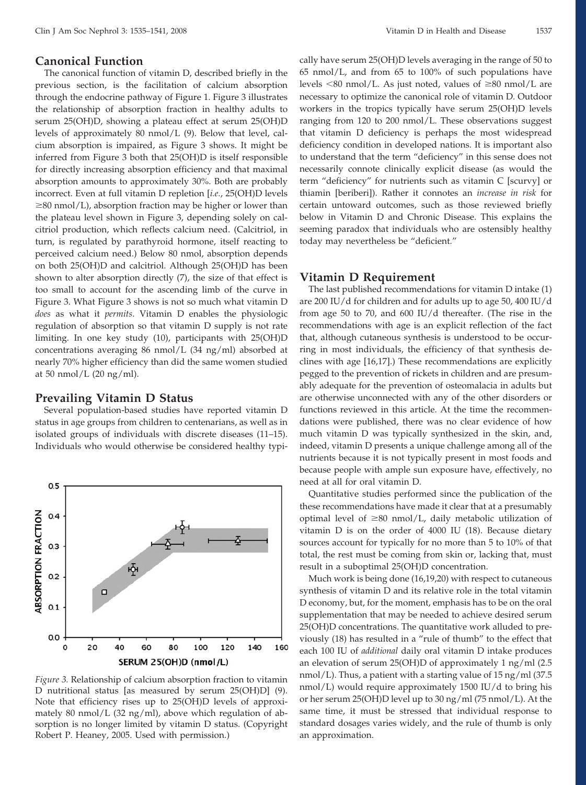#### **Canonical Function**

The canonical function of vitamin D, described briefly in the previous section, is the facilitation of calcium absorption through the endocrine pathway of Figure 1. Figure 3 illustrates the relationship of absorption fraction in healthy adults to serum 25(OH)D, showing a plateau effect at serum 25(OH)D levels of approximately 80 nmol/L (9). Below that level, calcium absorption is impaired, as Figure 3 shows. It might be inferred from Figure 3 both that 25(OH)D is itself responsible for directly increasing absorption efficiency and that maximal absorption amounts to approximately 30%. Both are probably incorrect. Even at full vitamin D repletion [*i.e.*, 25(OH)D levels  $\geq$ 80 nmol/L), absorption fraction may be higher or lower than the plateau level shown in Figure 3, depending solely on calcitriol production, which reflects calcium need. (Calcitriol, in turn, is regulated by parathyroid hormone, itself reacting to perceived calcium need.) Below 80 nmol, absorption depends on both 25(OH)D and calcitriol. Although 25(OH)D has been shown to alter absorption directly (7), the size of that effect is too small to account for the ascending limb of the curve in Figure 3. What Figure 3 shows is not so much what vitamin D *does* as what it *permits*. Vitamin D enables the physiologic regulation of absorption so that vitamin D supply is not rate limiting. In one key study (10), participants with 25(OH)D concentrations averaging 86 nmol/L (34 ng/ml) absorbed at nearly 70% higher efficiency than did the same women studied at 50 nmol/L  $(20 \text{ ng/ml})$ .

# **Prevailing Vitamin D Status**

Several population-based studies have reported vitamin D status in age groups from children to centenarians, as well as in isolated groups of individuals with discrete diseases (11–15). Individuals who would otherwise be considered healthy typi-



*Figure 3.* Relationship of calcium absorption fraction to vitamin D nutritional status [as measured by serum 25(OH)D] (9). Note that efficiency rises up to 25(OH)D levels of approximately 80 nmol/L (32 ng/ml), above which regulation of absorption is no longer limited by vitamin D status. (Copyright Robert P. Heaney, 2005. Used with permission.)

cally have serum 25(OH)D levels averaging in the range of 50 to 65 nmol/L, and from 65 to 100% of such populations have levels  $\leq 80$  nmol/L. As just noted, values of  $\geq 80$  nmol/L are necessary to optimize the canonical role of vitamin D. Outdoor workers in the tropics typically have serum 25(OH)D levels ranging from 120 to 200 nmol/L. These observations suggest that vitamin D deficiency is perhaps the most widespread deficiency condition in developed nations. It is important also to understand that the term "deficiency" in this sense does not necessarily connote clinically explicit disease (as would the term "deficiency" for nutrients such as vitamin C [scurvy] or thiamin [beriberi]). Rather it connotes an *increase in risk* for certain untoward outcomes, such as those reviewed briefly below in Vitamin D and Chronic Disease. This explains the seeming paradox that individuals who are ostensibly healthy today may nevertheless be "deficient."

## **Vitamin D Requirement**

The last published recommendations for vitamin D intake (1) are 200 IU/d for children and for adults up to age 50, 400 IU/d from age 50 to 70, and 600 IU/d thereafter. (The rise in the recommendations with age is an explicit reflection of the fact that, although cutaneous synthesis is understood to be occurring in most individuals, the efficiency of that synthesis declines with age [16,17].) These recommendations are explicitly pegged to the prevention of rickets in children and are presumably adequate for the prevention of osteomalacia in adults but are otherwise unconnected with any of the other disorders or functions reviewed in this article. At the time the recommendations were published, there was no clear evidence of how much vitamin D was typically synthesized in the skin, and, indeed, vitamin D presents a unique challenge among all of the nutrients because it is not typically present in most foods and because people with ample sun exposure have, effectively, no need at all for oral vitamin D.

Quantitative studies performed since the publication of the these recommendations have made it clear that at a presumably optimal level of  $\geq 80$  nmol/L, daily metabolic utilization of vitamin D is on the order of 4000 IU (18). Because dietary sources account for typically for no more than 5 to 10% of that total, the rest must be coming from skin or, lacking that, must result in a suboptimal 25(OH)D concentration.

Much work is being done (16,19,20) with respect to cutaneous synthesis of vitamin D and its relative role in the total vitamin D economy, but, for the moment, emphasis has to be on the oral supplementation that may be needed to achieve desired serum 25(OH)D concentrations. The quantitative work alluded to previously (18) has resulted in a "rule of thumb" to the effect that each 100 IU of *additional* daily oral vitamin D intake produces an elevation of serum 25(OH)D of approximately 1 ng/ml (2.5 nmol/L). Thus, a patient with a starting value of 15 ng/ml (37.5 nmol/L) would require approximately 1500 IU/d to bring his or her serum 25(OH)D level up to 30 ng/ml (75 nmol/L). At the same time, it must be stressed that individual response to standard dosages varies widely, and the rule of thumb is only an approximation.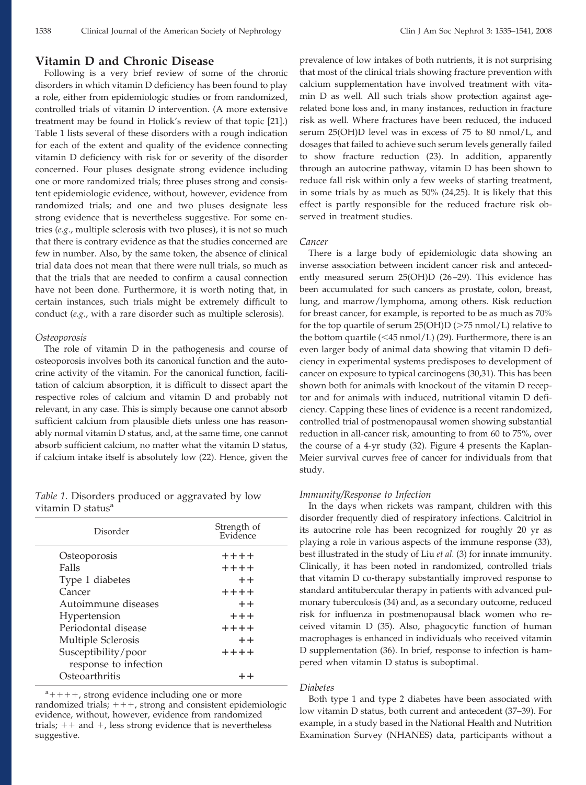# **Vitamin D and Chronic Disease**

Following is a very brief review of some of the chronic disorders in which vitamin D deficiency has been found to play a role, either from epidemiologic studies or from randomized, controlled trials of vitamin D intervention. (A more extensive treatment may be found in Holick's review of that topic [21].) Table 1 lists several of these disorders with a rough indication for each of the extent and quality of the evidence connecting vitamin D deficiency with risk for or severity of the disorder concerned. Four pluses designate strong evidence including one or more randomized trials; three pluses strong and consistent epidemiologic evidence, without, however, evidence from randomized trials; and one and two pluses designate less strong evidence that is nevertheless suggestive. For some entries (*e.g.*, multiple sclerosis with two pluses), it is not so much that there is contrary evidence as that the studies concerned are few in number. Also, by the same token, the absence of clinical trial data does not mean that there were null trials, so much as that the trials that are needed to confirm a causal connection have not been done. Furthermore, it is worth noting that, in certain instances, such trials might be extremely difficult to conduct (*e.g.*, with a rare disorder such as multiple sclerosis).

#### *Osteoporosis*

The role of vitamin D in the pathogenesis and course of osteoporosis involves both its canonical function and the autocrine activity of the vitamin. For the canonical function, facilitation of calcium absorption, it is difficult to dissect apart the respective roles of calcium and vitamin D and probably not relevant, in any case. This is simply because one cannot absorb sufficient calcium from plausible diets unless one has reasonably normal vitamin D status, and, at the same time, one cannot absorb sufficient calcium, no matter what the vitamin D status, if calcium intake itself is absolutely low (22). Hence, given the

*Table 1.* Disorders produced or aggravated by low vitamin  $D$  status $a$ 

| Disorder              | Strength of<br>Evidence |
|-----------------------|-------------------------|
| Osteoporosis          | $+ + + +$               |
| Falls                 | $+ + + +$               |
| Type 1 diabetes       | $++$                    |
| Cancer                | $++++$                  |
| Autoimmune diseases   | $+ +$                   |
| Hypertension          | $+ + +$                 |
| Periodontal disease   | $++++$                  |
| Multiple Sclerosis    | $++$                    |
| Susceptibility/poor   | $++++$                  |
| response to infection |                         |
| Osteoarthritis        |                         |

 $a_{+++}$ , strong evidence including one or more randomized trials;  $+++$ , strong and consistent epidemiologic evidence, without, however, evidence from randomized trials;  $++$  and  $+$ , less strong evidence that is nevertheless suggestive.

prevalence of low intakes of both nutrients, it is not surprising that most of the clinical trials showing fracture prevention with calcium supplementation have involved treatment with vitamin D as well. All such trials show protection against agerelated bone loss and, in many instances, reduction in fracture risk as well. Where fractures have been reduced, the induced serum 25(OH)D level was in excess of 75 to 80 nmol/L, and dosages that failed to achieve such serum levels generally failed to show fracture reduction (23). In addition, apparently through an autocrine pathway, vitamin D has been shown to reduce fall risk within only a few weeks of starting treatment, in some trials by as much as 50% (24,25). It is likely that this effect is partly responsible for the reduced fracture risk observed in treatment studies.

## *Cancer*

There is a large body of epidemiologic data showing an inverse association between incident cancer risk and antecedently measured serum 25(OH)D (26-29). This evidence has been accumulated for such cancers as prostate, colon, breast, lung, and marrow/lymphoma, among others. Risk reduction for breast cancer, for example, is reported to be as much as 70% for the top quartile of serum 25(OH)D ( $>$ 75 nmol/L) relative to the bottom quartile  $(<$  45 nmol/L) (29). Furthermore, there is an even larger body of animal data showing that vitamin D deficiency in experimental systems predisposes to development of cancer on exposure to typical carcinogens (30,31). This has been shown both for animals with knockout of the vitamin D receptor and for animals with induced, nutritional vitamin D deficiency. Capping these lines of evidence is a recent randomized, controlled trial of postmenopausal women showing substantial reduction in all-cancer risk, amounting to from 60 to 75%, over the course of a 4-yr study (32). Figure 4 presents the Kaplan-Meier survival curves free of cancer for individuals from that study.

#### *Immunity/Response to Infection*

In the days when rickets was rampant, children with this disorder frequently died of respiratory infections. Calcitriol in its autocrine role has been recognized for roughly 20 yr as playing a role in various aspects of the immune response (33), best illustrated in the study of Liu *et al.* (3) for innate immunity. Clinically, it has been noted in randomized, controlled trials that vitamin D co-therapy substantially improved response to standard antitubercular therapy in patients with advanced pulmonary tuberculosis (34) and, as a secondary outcome, reduced risk for influenza in postmenopausal black women who received vitamin D (35). Also, phagocytic function of human macrophages is enhanced in individuals who received vitamin D supplementation (36). In brief, response to infection is hampered when vitamin D status is suboptimal.

#### *Diabetes*

Both type 1 and type 2 diabetes have been associated with low vitamin D status, both current and antecedent (37–39). For example, in a study based in the National Health and Nutrition Examination Survey (NHANES) data, participants without a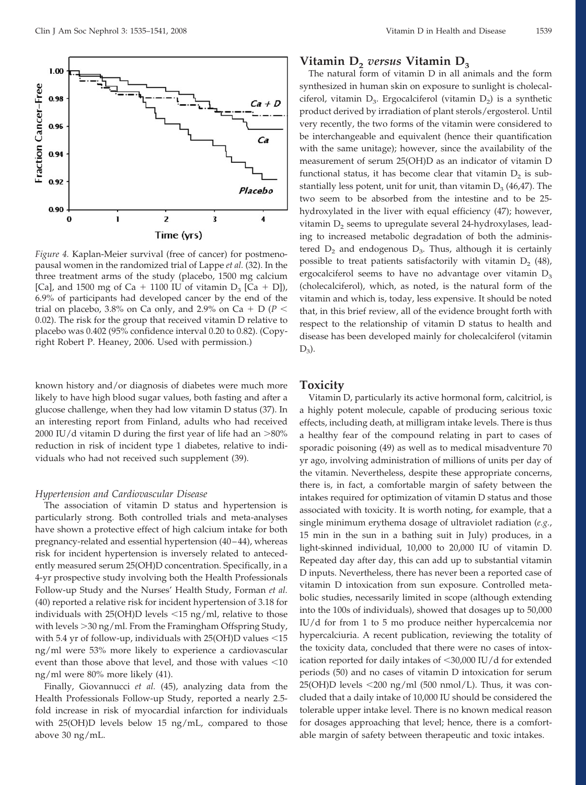

*Figure 4.* Kaplan-Meier survival (free of cancer) for postmenopausal women in the randomized trial of Lappe *et al.* (32). In the three treatment arms of the study (placebo, 1500 mg calcium [Ca], and 1500 mg of Ca + 1100 IU of vitamin  $D_3$  [Ca + D]), 6.9% of participants had developed cancer by the end of the trial on placebo, 3.8% on Ca only, and 2.9% on Ca + D ( $P$  < 0.02). The risk for the group that received vitamin D relative to placebo was 0.402 (95% confidence interval 0.20 to 0.82). (Copyright Robert P. Heaney, 2006. Used with permission.)

known history and/or diagnosis of diabetes were much more likely to have high blood sugar values, both fasting and after a glucose challenge, when they had low vitamin D status (37). In an interesting report from Finland, adults who had received 2000 IU/d vitamin D during the first year of life had an  $>$ 80% reduction in risk of incident type 1 diabetes, relative to individuals who had not received such supplement (39).

#### *Hypertension and Cardiovascular Disease*

The association of vitamin D status and hypertension is particularly strong. Both controlled trials and meta-analyses have shown a protective effect of high calcium intake for both pregnancy-related and essential hypertension (40 – 44), whereas risk for incident hypertension is inversely related to antecedently measured serum 25(OH)D concentration. Specifically, in a 4-yr prospective study involving both the Health Professionals Follow-up Study and the Nurses' Health Study, Forman *et al.* (40) reported a relative risk for incident hypertension of 3.18 for individuals with  $25(OH)D$  levels  $\leq 15$  ng/ml, relative to those with levels -30 ng/ml. From the Framingham Offspring Study, with 5.4 yr of follow-up, individuals with  $25(OH)D$  values  $\leq 15$ ng/ml were 53% more likely to experience a cardiovascular event than those above that level, and those with values  $<$ 10 ng/ml were 80% more likely (41).

Finally, Giovannucci *et al.* (45), analyzing data from the Health Professionals Follow-up Study, reported a nearly 2.5 fold increase in risk of myocardial infarction for individuals with 25(OH)D levels below 15 ng/mL, compared to those above 30 ng/mL.

# **Vitamin D**<sub>2</sub> *versus* **Vitamin D**<sub>3</sub>

The natural form of vitamin D in all animals and the form synthesized in human skin on exposure to sunlight is cholecalciferol, vitamin  $D_3$ . Ergocalciferol (vitamin  $D_2$ ) is a synthetic product derived by irradiation of plant sterols/ergosterol. Until very recently, the two forms of the vitamin were considered to be interchangeable and equivalent (hence their quantification with the same unitage); however, since the availability of the measurement of serum 25(OH)D as an indicator of vitamin D functional status, it has become clear that vitamin  $D_2$  is substantially less potent, unit for unit, than vitamin  $D_3$  (46,47). The two seem to be absorbed from the intestine and to be 25 hydroxylated in the liver with equal efficiency (47); however, vitamin  $D_2$  seems to upregulate several 24-hydroxylases, leading to increased metabolic degradation of both the administered  $D_2$  and endogenous  $D_3$ . Thus, although it is certainly possible to treat patients satisfactorily with vitamin  $D_2$  (48), ergocalciferol seems to have no advantage over vitamin  $D_3$ (cholecalciferol), which, as noted, is the natural form of the vitamin and which is, today, less expensive. It should be noted that, in this brief review, all of the evidence brought forth with respect to the relationship of vitamin D status to health and disease has been developed mainly for cholecalciferol (vitamin  $D_3$ ).

#### **Toxicity**

Vitamin D, particularly its active hormonal form, calcitriol, is a highly potent molecule, capable of producing serious toxic effects, including death, at milligram intake levels. There is thus a healthy fear of the compound relating in part to cases of sporadic poisoning (49) as well as to medical misadventure 70 yr ago, involving administration of millions of units per day of the vitamin. Nevertheless, despite these appropriate concerns, there is, in fact, a comfortable margin of safety between the intakes required for optimization of vitamin D status and those associated with toxicity. It is worth noting, for example, that a single minimum erythema dosage of ultraviolet radiation (*e.g.*, 15 min in the sun in a bathing suit in July) produces, in a light-skinned individual, 10,000 to 20,000 IU of vitamin D. Repeated day after day, this can add up to substantial vitamin D inputs. Nevertheless, there has never been a reported case of vitamin D intoxication from sun exposure. Controlled metabolic studies, necessarily limited in scope (although extending into the 100s of individuals), showed that dosages up to 50,000 IU/d for from 1 to 5 mo produce neither hypercalcemia nor hypercalciuria. A recent publication, reviewing the totality of the toxicity data, concluded that there were no cases of intoxication reported for daily intakes of <30,000 IU/d for extended periods (50) and no cases of vitamin D intoxication for serum  $25(OH)D$  levels  $\leq 200$  ng/ml (500 nmol/L). Thus, it was concluded that a daily intake of 10,000 IU should be considered the tolerable upper intake level. There is no known medical reason for dosages approaching that level; hence, there is a comfortable margin of safety between therapeutic and toxic intakes.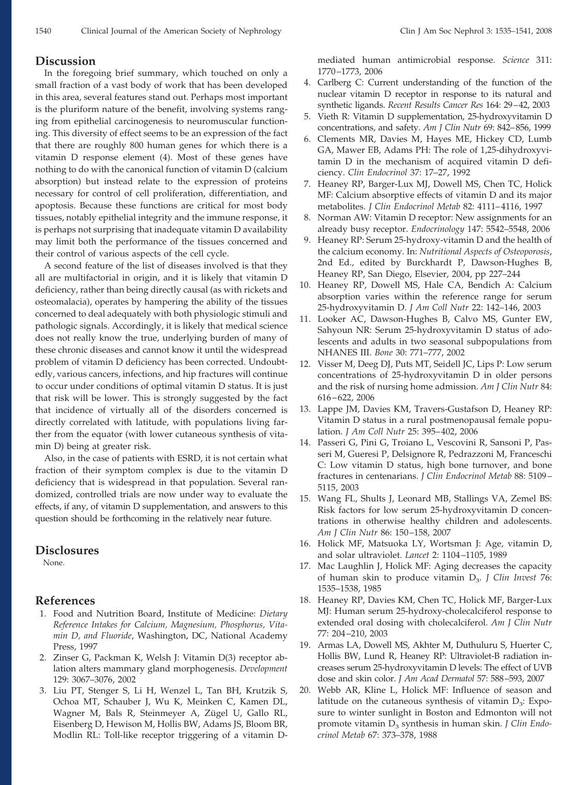#### **Discussion**

In the foregoing brief summary, which touched on only a small fraction of a vast body of work that has been developed in this area, several features stand out. Perhaps most important is the pluriform nature of the benefit, involving systems ranging from epithelial carcinogenesis to neuromuscular functioning. This diversity of effect seems to be an expression of the fact that there are roughly 800 human genes for which there is a vitamin D response element (4). Most of these genes have nothing to do with the canonical function of vitamin D (calcium absorption) but instead relate to the expression of proteins necessary for control of cell proliferation, differentiation, and apoptosis. Because these functions are critical for most body tissues, notably epithelial integrity and the immune response, it is perhaps not surprising that inadequate vitamin D availability may limit both the performance of the tissues concerned and their control of various aspects of the cell cycle.

A second feature of the list of diseases involved is that they all are multifactorial in origin, and it is likely that vitamin D deficiency, rather than being directly causal (as with rickets and osteomalacia), operates by hampering the ability of the tissues concerned to deal adequately with both physiologic stimuli and pathologic signals. Accordingly, it is likely that medical science does not really know the true, underlying burden of many of these chronic diseases and cannot know it until the widespread problem of vitamin D deficiency has been corrected. Undoubtedly, various cancers, infections, and hip fractures will continue to occur under conditions of optimal vitamin D status. It is just that risk will be lower. This is strongly suggested by the fact that incidence of virtually all of the disorders concerned is directly correlated with latitude, with populations living farther from the equator (with lower cutaneous synthesis of vitamin D) being at greater risk.

Also, in the case of patients with ESRD, it is not certain what fraction of their symptom complex is due to the vitamin D deficiency that is widespread in that population. Several randomized, controlled trials are now under way to evaluate the effects, if any, of vitamin D supplementation, and answers to this question should be forthcoming in the relatively near future.

# **Disclosures**

None.

# **References**

- 1. Food and Nutrition Board, Institute of Medicine: *Dietary Reference Intakes for Calcium, Magnesium, Phosphorus, Vitamin D, and Fluoride*, Washington, DC, National Academy Press, 1997
- 2. Zinser G, Packman K, Welsh J: Vitamin D(3) receptor ablation alters mammary gland morphogenesis. *Development* 129: 3067–3076, 2002
- 3. Liu PT, Stenger S, Li H, Wenzel L, Tan BH, Krutzik S, Ochoa MT, Schauber J, Wu K, Meinken C, Kamen DL, Wagner M, Bals R, Steinmeyer A, Zügel U, Gallo RL, Eisenberg D, Hewison M, Hollis BW, Adams JS, Bloom BR, Modlin RL: Toll-like receptor triggering of a vitamin D-

mediated human antimicrobial response. *Science* 311: 1770 –1773, 2006

- 4. Carlberg C: Current understanding of the function of the nuclear vitamin D receptor in response to its natural and synthetic ligands. *Recent Results Cancer Res* 164: 29 – 42, 2003
- 5. Vieth R: Vitamin D supplementation, 25-hydroxyvitamin D concentrations, and safety. *Am J Clin Nutr* 69: 842– 856, 1999
- 6. Clements MR, Davies M, Hayes ME, Hickey CD, Lumb GA, Mawer EB, Adams PH: The role of 1,25-dihydroxyvitamin D in the mechanism of acquired vitamin D deficiency. *Clin Endocrinol* 37: 17–27, 1992
- 7. Heaney RP, Barger-Lux MJ, Dowell MS, Chen TC, Holick MF: Calcium absorptive effects of vitamin D and its major metabolites. *J Clin Endocrinol Metab* 82: 4111– 4116, 1997
- 8. Norman AW: Vitamin D receptor: New assignments for an already busy receptor. *Endocrinology* 147: 5542–5548, 2006
- 9. Heaney RP: Serum 25-hydroxy-vitamin D and the health of the calcium economy. In: *Nutritional Aspects of Osteoporosis*, 2nd Ed., edited by Burckhardt P, Dawson-Hughes B, Heaney RP, San Diego, Elsevier, 2004, pp 227–244
- 10. Heaney RP, Dowell MS, Hale CA, Bendich A: Calcium absorption varies within the reference range for serum 25-hydroxyvitamin D. *J Am Coll Nutr* 22: 142–146, 2003
- 11. Looker AC, Dawson-Hughes B, Calvo MS, Gunter EW, Sahyoun NR: Serum 25-hydroxyvitamin D status of adolescents and adults in two seasonal subpopulations from NHANES III. *Bone* 30: 771–777, 2002
- 12. Visser M, Deeg DJ, Puts MT, Seidell JC, Lips P: Low serum concentrations of 25-hydroxyvitamin D in older persons and the risk of nursing home admission. *Am J Clin Nutr* 84: 616 – 622, 2006
- 13. Lappe JM, Davies KM, Travers-Gustafson D, Heaney RP: Vitamin D status in a rural postmenopausal female population. *J Am Coll Nutr* 25: 395– 402, 2006
- 14. Passeri G, Pini G, Troiano L, Vescovini R, Sansoni P, Passeri M, Gueresi P, Delsignore R, Pedrazzoni M, Franceschi C: Low vitamin D status, high bone turnover, and bone fractures in centenarians. *J Clin Endocrinol Metab* 88: 5109 – 5115, 2003
- 15. Wang FL, Shults J, Leonard MB, Stallings VA, Zemel BS: Risk factors for low serum 25-hydroxyvitamin D concentrations in otherwise healthy children and adolescents. *Am J Clin Nutr* 86: 150 –158, 2007
- 16. Holick MF, Matsuoka LY, Wortsman J: Age, vitamin D, and solar ultraviolet. *Lancet* 2: 1104 –1105, 1989
- 17. Mac Laughlin J, Holick MF: Aging decreases the capacity of human skin to produce vitamin D<sub>3</sub>. *J Clin Invest* 76: 1535–1538, 1985
- 18. Heaney RP, Davies KM, Chen TC, Holick MF, Barger-Lux MJ: Human serum 25-hydroxy-cholecalciferol response to extended oral dosing with cholecalciferol. *Am J Clin Nutr* 77: 204 –210, 2003
- 19. Armas LA, Dowell MS, Akhter M, Duthuluru S, Huerter C, Hollis BW, Lund R, Heaney RP: Ultraviolet-B radiation increases serum 25-hydroxyvitamin D levels: The effect of UVB dose and skin color. *J Am Acad Dermatol* 57: 588 –593, 2007
- 20. Webb AR, Kline L, Holick MF: Influence of season and latitude on the cutaneous synthesis of vitamin  $D_3$ : Exposure to winter sunlight in Boston and Edmonton will not promote vitamin D<sub>3</sub> synthesis in human skin. *J Clin Endocrinol Metab* 67: 373–378, 1988